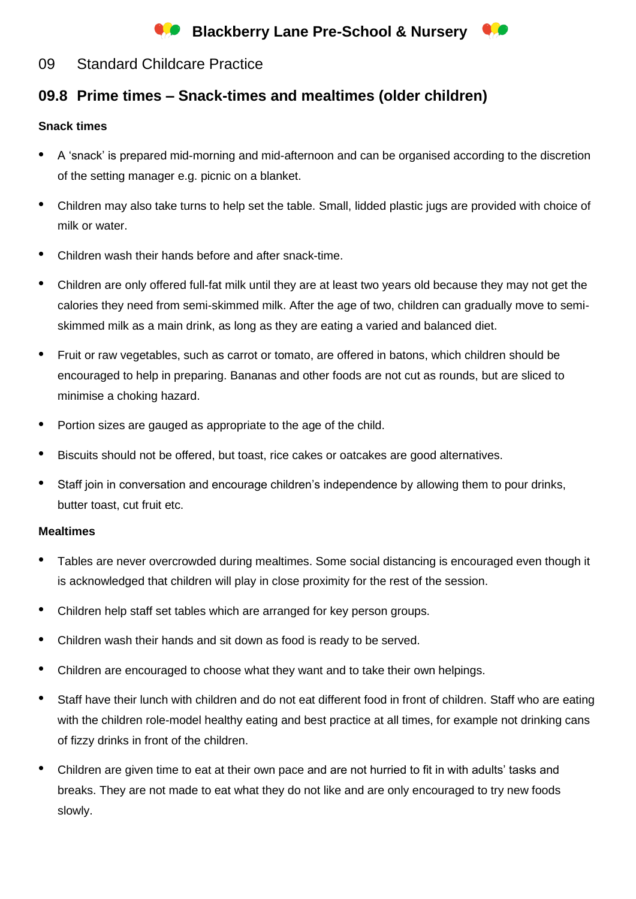# **Co** Blackberry Lane Pre-School & Nursery

### 09 Standard Childcare Practice

## **09.8 Prime times – Snack-times and mealtimes (older children)**

### **Snack times**

- A 'snack' is prepared mid-morning and mid-afternoon and can be organised according to the discretion of the setting manager e.g. picnic on a blanket.
- Children may also take turns to help set the table. Small, lidded plastic jugs are provided with choice of milk or water.
- Children wash their hands before and after snack-time.
- Children are only offered full-fat milk until they are at least two years old because they may not get the calories they need from semi-skimmed milk. After the age of two, children can gradually move to semiskimmed milk as a main drink, as long as they are eating a varied and balanced diet.
- Fruit or raw vegetables, such as carrot or tomato, are offered in batons, which children should be encouraged to help in preparing. Bananas and other foods are not cut as rounds, but are sliced to minimise a choking hazard.
- Portion sizes are gauged as appropriate to the age of the child.
- Biscuits should not be offered, but toast, rice cakes or oatcakes are good alternatives.
- Staff join in conversation and encourage children's independence by allowing them to pour drinks, butter toast, cut fruit etc.

#### **Mealtimes**

- Tables are never overcrowded during mealtimes. Some social distancing is encouraged even though it is acknowledged that children will play in close proximity for the rest of the session.
- Children help staff set tables which are arranged for key person groups.
- Children wash their hands and sit down as food is ready to be served.
- Children are encouraged to choose what they want and to take their own helpings.
- Staff have their lunch with children and do not eat different food in front of children. Staff who are eating with the children role-model healthy eating and best practice at all times, for example not drinking cans of fizzy drinks in front of the children.
- Children are given time to eat at their own pace and are not hurried to fit in with adults' tasks and breaks. They are not made to eat what they do not like and are only encouraged to try new foods slowly.